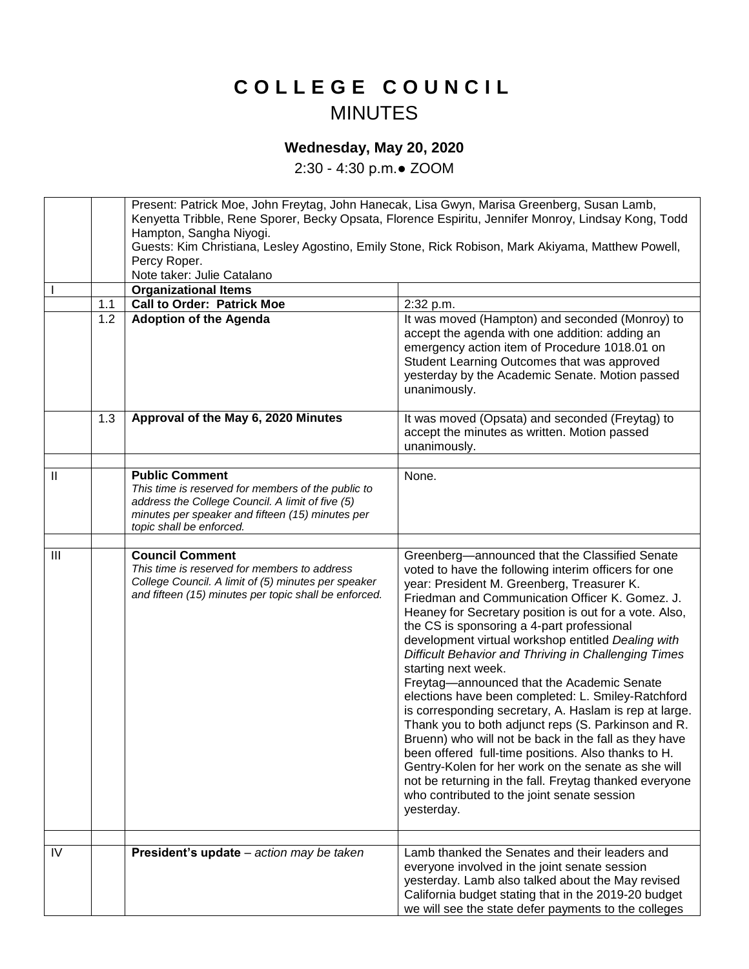## **C O L L E G E C O U N C I L** MINUTES

## **Wednesday, May 20, 2020**

2:30 - 4:30 p.m.● ZOOM

|                |     | Present: Patrick Moe, John Freytag, John Hanecak, Lisa Gwyn, Marisa Greenberg, Susan Lamb,<br>Kenyetta Tribble, Rene Sporer, Becky Opsata, Florence Espiritu, Jennifer Monroy, Lindsay Kong, Todd               |                                                                                                                                                                                                                                                                                                                                                                                                                                                                                                                                                                                                                                                                                                                                                                                                                                                                                                                                                                         |  |
|----------------|-----|-----------------------------------------------------------------------------------------------------------------------------------------------------------------------------------------------------------------|-------------------------------------------------------------------------------------------------------------------------------------------------------------------------------------------------------------------------------------------------------------------------------------------------------------------------------------------------------------------------------------------------------------------------------------------------------------------------------------------------------------------------------------------------------------------------------------------------------------------------------------------------------------------------------------------------------------------------------------------------------------------------------------------------------------------------------------------------------------------------------------------------------------------------------------------------------------------------|--|
|                |     | Hampton, Sangha Niyogi.                                                                                                                                                                                         |                                                                                                                                                                                                                                                                                                                                                                                                                                                                                                                                                                                                                                                                                                                                                                                                                                                                                                                                                                         |  |
|                |     |                                                                                                                                                                                                                 | Guests: Kim Christiana, Lesley Agostino, Emily Stone, Rick Robison, Mark Akiyama, Matthew Powell,                                                                                                                                                                                                                                                                                                                                                                                                                                                                                                                                                                                                                                                                                                                                                                                                                                                                       |  |
|                |     | Percy Roper.<br>Note taker: Julie Catalano                                                                                                                                                                      |                                                                                                                                                                                                                                                                                                                                                                                                                                                                                                                                                                                                                                                                                                                                                                                                                                                                                                                                                                         |  |
|                |     | <b>Organizational Items</b>                                                                                                                                                                                     |                                                                                                                                                                                                                                                                                                                                                                                                                                                                                                                                                                                                                                                                                                                                                                                                                                                                                                                                                                         |  |
|                | 1.1 | <b>Call to Order: Patrick Moe</b>                                                                                                                                                                               | 2:32 p.m.                                                                                                                                                                                                                                                                                                                                                                                                                                                                                                                                                                                                                                                                                                                                                                                                                                                                                                                                                               |  |
|                | 1.2 | <b>Adoption of the Agenda</b>                                                                                                                                                                                   | It was moved (Hampton) and seconded (Monroy) to<br>accept the agenda with one addition: adding an<br>emergency action item of Procedure 1018.01 on<br>Student Learning Outcomes that was approved<br>yesterday by the Academic Senate. Motion passed<br>unanimously.                                                                                                                                                                                                                                                                                                                                                                                                                                                                                                                                                                                                                                                                                                    |  |
|                | 1.3 | Approval of the May 6, 2020 Minutes                                                                                                                                                                             | It was moved (Opsata) and seconded (Freytag) to<br>accept the minutes as written. Motion passed<br>unanimously.                                                                                                                                                                                                                                                                                                                                                                                                                                                                                                                                                                                                                                                                                                                                                                                                                                                         |  |
|                |     |                                                                                                                                                                                                                 |                                                                                                                                                                                                                                                                                                                                                                                                                                                                                                                                                                                                                                                                                                                                                                                                                                                                                                                                                                         |  |
| Ш              |     | <b>Public Comment</b><br>This time is reserved for members of the public to<br>address the College Council. A limit of five (5)<br>minutes per speaker and fifteen (15) minutes per<br>topic shall be enforced. | None.                                                                                                                                                                                                                                                                                                                                                                                                                                                                                                                                                                                                                                                                                                                                                                                                                                                                                                                                                                   |  |
|                |     |                                                                                                                                                                                                                 |                                                                                                                                                                                                                                                                                                                                                                                                                                                                                                                                                                                                                                                                                                                                                                                                                                                                                                                                                                         |  |
| $\mathbf{III}$ |     | <b>Council Comment</b><br>This time is reserved for members to address<br>College Council. A limit of (5) minutes per speaker<br>and fifteen (15) minutes per topic shall be enforced.                          | Greenberg-announced that the Classified Senate<br>voted to have the following interim officers for one<br>year: President M. Greenberg, Treasurer K.<br>Friedman and Communication Officer K. Gomez. J.<br>Heaney for Secretary position is out for a vote. Also,<br>the CS is sponsoring a 4-part professional<br>development virtual workshop entitled Dealing with<br>Difficult Behavior and Thriving in Challenging Times<br>starting next week.<br>Freytag-announced that the Academic Senate<br>elections have been completed: L. Smiley-Ratchford<br>is corresponding secretary, A. Haslam is rep at large.<br>Thank you to both adjunct reps (S. Parkinson and R.<br>Bruenn) who will not be back in the fall as they have<br>been offered full-time positions. Also thanks to H.<br>Gentry-Kolen for her work on the senate as she will<br>not be returning in the fall. Freytag thanked everyone<br>who contributed to the joint senate session<br>yesterday. |  |
|                |     |                                                                                                                                                                                                                 |                                                                                                                                                                                                                                                                                                                                                                                                                                                                                                                                                                                                                                                                                                                                                                                                                                                                                                                                                                         |  |
| IV             |     | President's update - action may be taken                                                                                                                                                                        | Lamb thanked the Senates and their leaders and<br>everyone involved in the joint senate session<br>yesterday. Lamb also talked about the May revised<br>California budget stating that in the 2019-20 budget<br>we will see the state defer payments to the colleges                                                                                                                                                                                                                                                                                                                                                                                                                                                                                                                                                                                                                                                                                                    |  |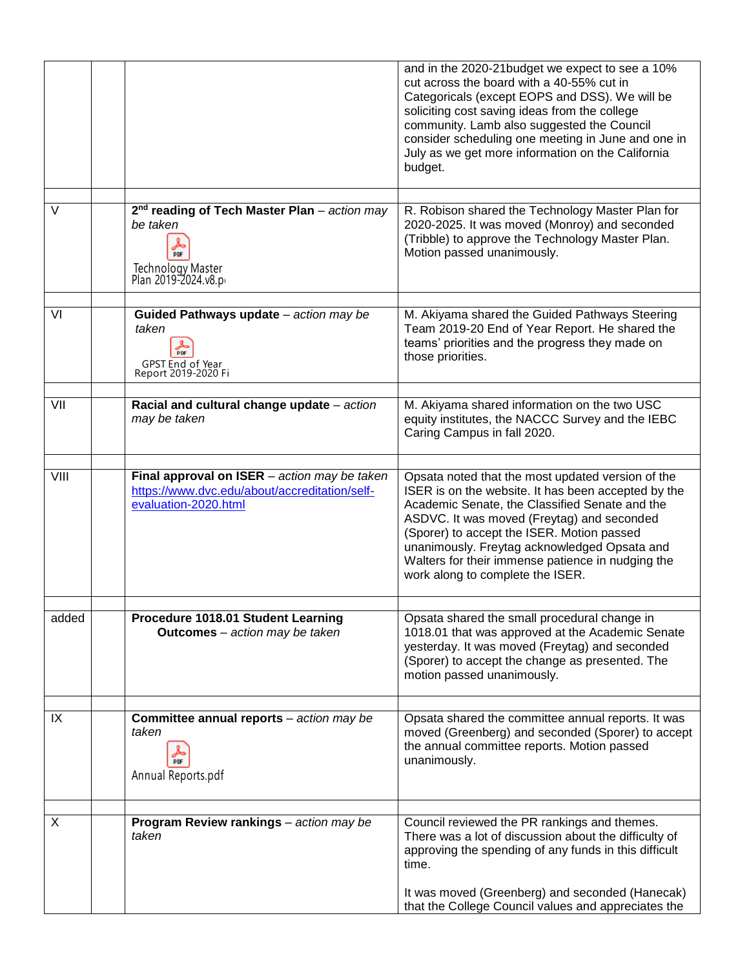|        |                                                                                                                                                   | and in the 2020-21 budget we expect to see a 10%<br>cut across the board with a 40-55% cut in<br>Categoricals (except EOPS and DSS). We will be<br>soliciting cost saving ideas from the college<br>community. Lamb also suggested the Council<br>consider scheduling one meeting in June and one in<br>July as we get more information on the California<br>budget.                            |
|--------|---------------------------------------------------------------------------------------------------------------------------------------------------|-------------------------------------------------------------------------------------------------------------------------------------------------------------------------------------------------------------------------------------------------------------------------------------------------------------------------------------------------------------------------------------------------|
| $\vee$ | 2 <sup>nd</sup> reading of Tech Master Plan - action may<br>be taken<br>$\frac{1}{\rho_{DF}}$<br><b>Technology Master</b><br>Plan 2019-2024.v8.pr | R. Robison shared the Technology Master Plan for<br>2020-2025. It was moved (Monroy) and seconded<br>(Tribble) to approve the Technology Master Plan.<br>Motion passed unanimously.                                                                                                                                                                                                             |
| VI     | Guided Pathways update - action may be<br>taken<br>PDF<br>GPST End of Year<br>Report 2019-2020 Fi                                                 | M. Akiyama shared the Guided Pathways Steering<br>Team 2019-20 End of Year Report. He shared the<br>teams' priorities and the progress they made on<br>those priorities.                                                                                                                                                                                                                        |
| VII    | Racial and cultural change update - action<br>may be taken                                                                                        | M. Akiyama shared information on the two USC<br>equity institutes, the NACCC Survey and the IEBC<br>Caring Campus in fall 2020.                                                                                                                                                                                                                                                                 |
| VIII   | Final approval on ISER - action may be taken<br>https://www.dvc.edu/about/accreditation/self-<br>evaluation-2020.html                             | Opsata noted that the most updated version of the<br>ISER is on the website. It has been accepted by the<br>Academic Senate, the Classified Senate and the<br>ASDVC. It was moved (Freytag) and seconded<br>(Sporer) to accept the ISER. Motion passed<br>unanimously. Freytag acknowledged Opsata and<br>Walters for their immense patience in nudging the<br>work along to complete the ISER. |
| added  | Procedure 1018.01 Student Learning<br><b>Outcomes</b> - action may be taken                                                                       | Opsata shared the small procedural change in<br>1018.01 that was approved at the Academic Senate<br>yesterday. It was moved (Freytag) and seconded<br>(Sporer) to accept the change as presented. The<br>motion passed unanimously.                                                                                                                                                             |
| IX     | <b>Committee annual reports</b> - action may be<br>taken<br>PDF<br>Annual Reports.pdf                                                             | Opsata shared the committee annual reports. It was<br>moved (Greenberg) and seconded (Sporer) to accept<br>the annual committee reports. Motion passed<br>unanimously.                                                                                                                                                                                                                          |
|        |                                                                                                                                                   |                                                                                                                                                                                                                                                                                                                                                                                                 |
| X      | Program Review rankings - action may be<br>taken                                                                                                  | Council reviewed the PR rankings and themes.<br>There was a lot of discussion about the difficulty of<br>approving the spending of any funds in this difficult<br>time.                                                                                                                                                                                                                         |
|        |                                                                                                                                                   | It was moved (Greenberg) and seconded (Hanecak)<br>that the College Council values and appreciates the                                                                                                                                                                                                                                                                                          |